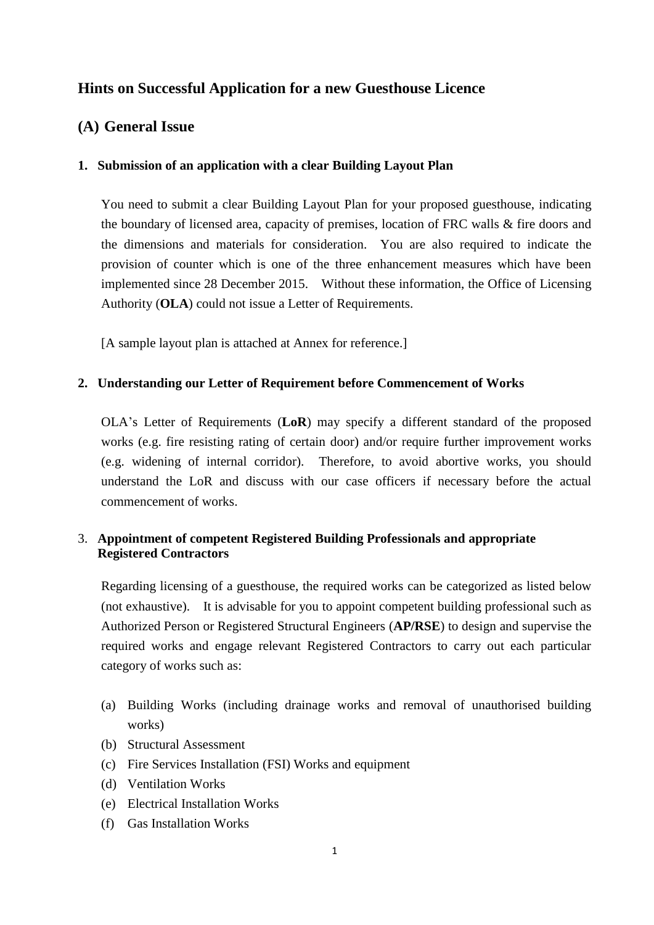# **Hints on Successful Application for a new Guesthouse Licence**

## **(A) General Issue**

### **1. Submission of an application with a clear Building Layout Plan**

You need to submit a clear Building Layout Plan for your proposed guesthouse, indicating the boundary of licensed area, capacity of premises, location of FRC walls & fire doors and the dimensions and materials for consideration. You are also required to indicate the provision of counter which is one of the three enhancement measures which have been implemented since 28 December 2015. Without these information, the Office of Licensing Authority (**OLA**) could not issue a Letter of Requirements.

[A sample layout plan is attached at Annex for reference.]

### **2. Understanding our Letter of Requirement before Commencement of Works**

OLA's Letter of Requirements (**LoR**) may specify a different standard of the proposed works (e.g. fire resisting rating of certain door) and/or require further improvement works (e.g. widening of internal corridor). Therefore, to avoid abortive works, you should understand the LoR and discuss with our case officers if necessary before the actual commencement of works.

### 3. **Appointment of competent Registered Building Professionals and appropriate Registered Contractors**

Regarding licensing of a guesthouse, the required works can be categorized as listed below (not exhaustive). It is advisable for you to appoint competent building professional such as Authorized Person or Registered Structural Engineers (**AP/RSE**) to design and supervise the required works and engage relevant Registered Contractors to carry out each particular category of works such as:

- (a) Building Works (including drainage works and removal of unauthorised building works)
- (b) Structural Assessment
- (c) Fire Services Installation (FSI) Works and equipment
- (d) Ventilation Works
- (e) Electrical Installation Works
- (f) Gas Installation Works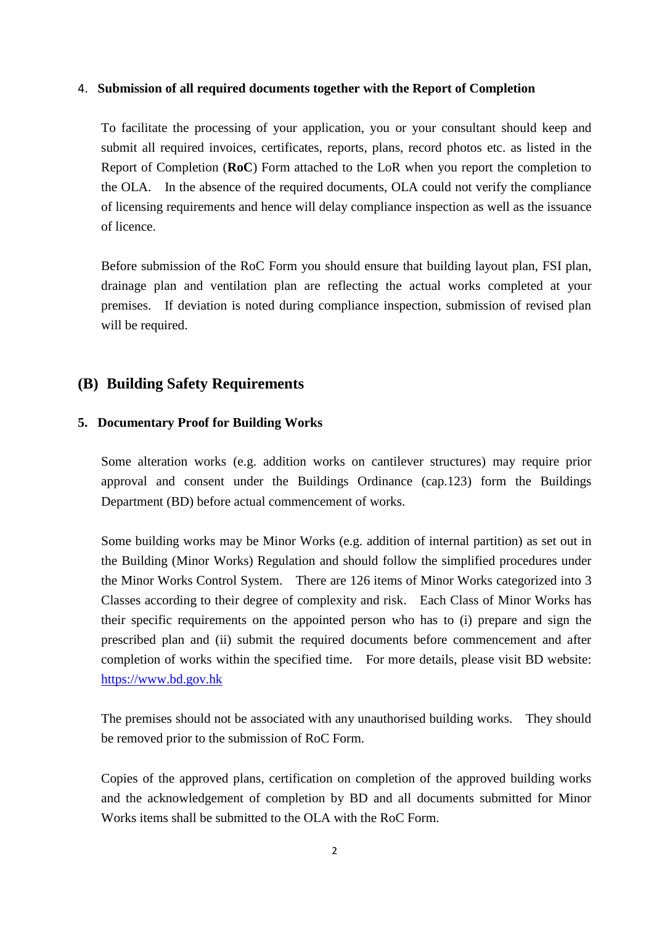### 4. **Submission of all required documents together with the Report of Completion**

To facilitate the processing of your application, you or your consultant should keep and submit all required invoices, certificates, reports, plans, record photos etc. as listed in the Report of Completion (**RoC**) Form attached to the LoR when you report the completion to the OLA. In the absence of the required documents, OLA could not verify the compliance of licensing requirements and hence will delay compliance inspection as well as the issuance of licence.

Before submission of the RoC Form you should ensure that building layout plan, FSI plan, drainage plan and ventilation plan are reflecting the actual works completed at your premises. If deviation is noted during compliance inspection, submission of revised plan will be required.

## **(B) Building Safety Requirements**

### **5. Documentary Proof for Building Works**

Some alteration works (e.g. addition works on cantilever structures) may require prior approval and consent under the Buildings Ordinance (cap.123) form the Buildings Department (BD) before actual commencement of works.

Some building works may be Minor Works (e.g. addition of internal partition) as set out in the Building (Minor Works) Regulation and should follow the simplified procedures under the Minor Works Control System. There are 126 items of Minor Works categorized into 3 Classes according to their degree of complexity and risk. Each Class of Minor Works has their specific requirements on the appointed person who has to (i) prepare and sign the prescribed plan and (ii) submit the required documents before commencement and after completion of works within the specified time. For more details, please visit BD website: [https://www.bd.gov.hk](https://www.bd.gov.hk/)

The premises should not be associated with any unauthorised building works. They should be removed prior to the submission of RoC Form.

Copies of the approved plans, certification on completion of the approved building works and the acknowledgement of completion by BD and all documents submitted for Minor Works items shall be submitted to the OLA with the RoC Form.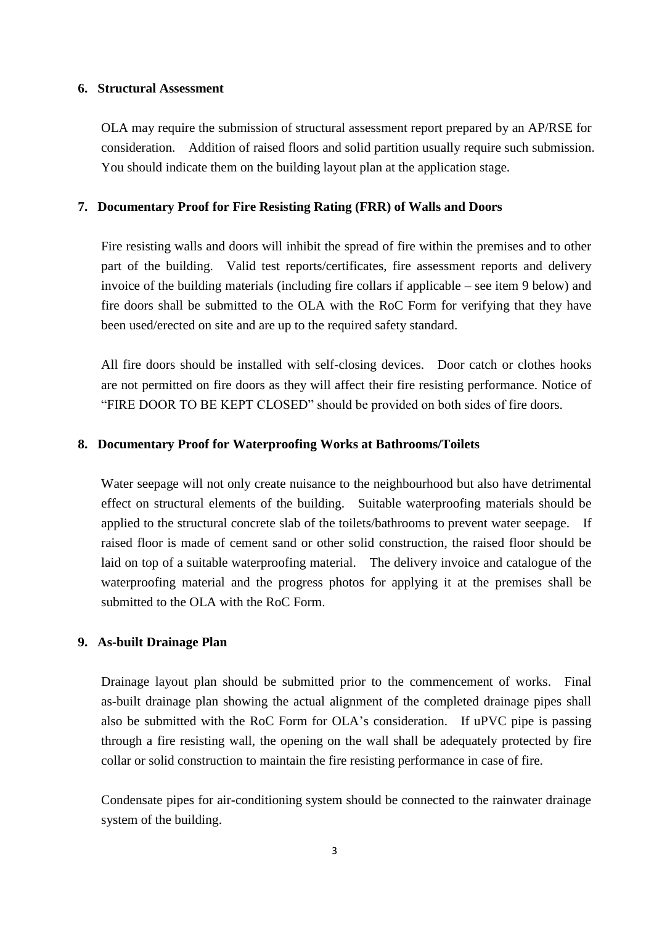### **6. Structural Assessment**

OLA may require the submission of structural assessment report prepared by an AP/RSE for consideration. Addition of raised floors and solid partition usually require such submission. You should indicate them on the building layout plan at the application stage.

### **7. Documentary Proof for Fire Resisting Rating (FRR) of Walls and Doors**

Fire resisting walls and doors will inhibit the spread of fire within the premises and to other part of the building. Valid test reports/certificates, fire assessment reports and delivery invoice of the building materials (including fire collars if applicable – see item 9 below) and fire doors shall be submitted to the OLA with the RoC Form for verifying that they have been used/erected on site and are up to the required safety standard.

All fire doors should be installed with self-closing devices. Door catch or clothes hooks are not permitted on fire doors as they will affect their fire resisting performance. Notice of "FIRE DOOR TO BE KEPT CLOSED" should be provided on both sides of fire doors.

#### **8. Documentary Proof for Waterproofing Works at Bathrooms/Toilets**

Water seepage will not only create nuisance to the neighbourhood but also have detrimental effect on structural elements of the building. Suitable waterproofing materials should be applied to the structural concrete slab of the toilets/bathrooms to prevent water seepage. If raised floor is made of cement sand or other solid construction, the raised floor should be laid on top of a suitable waterproofing material. The delivery invoice and catalogue of the waterproofing material and the progress photos for applying it at the premises shall be submitted to the OLA with the RoC Form.

### **9. As-built Drainage Plan**

Drainage layout plan should be submitted prior to the commencement of works. Final as-built drainage plan showing the actual alignment of the completed drainage pipes shall also be submitted with the RoC Form for OLA's consideration. If uPVC pipe is passing through a fire resisting wall, the opening on the wall shall be adequately protected by fire collar or solid construction to maintain the fire resisting performance in case of fire.

Condensate pipes for air-conditioning system should be connected to the rainwater drainage system of the building.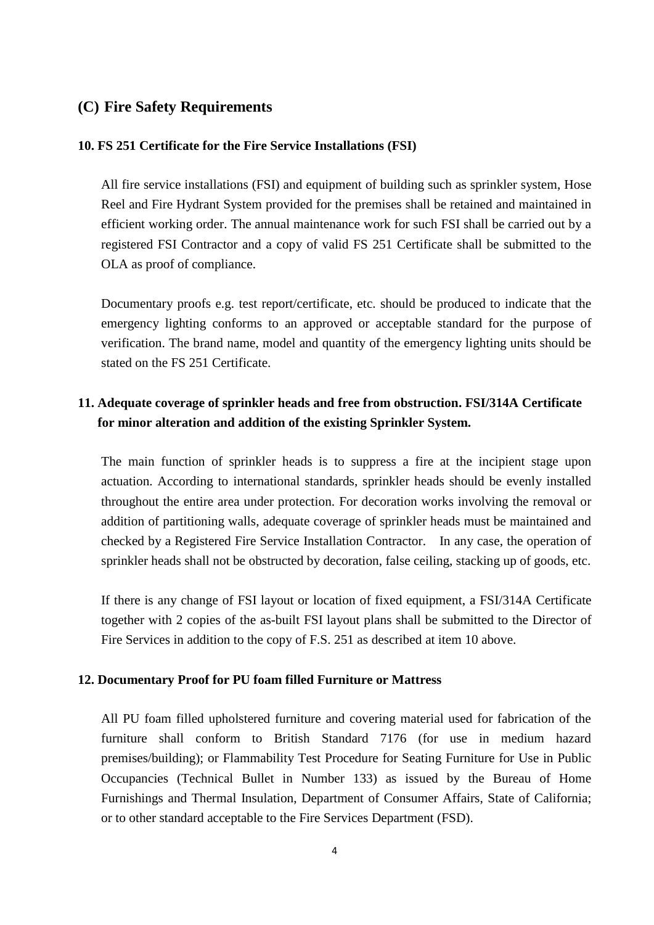## **(C) Fire Safety Requirements**

### **10. FS 251 Certificate for the Fire Service Installations (FSI)**

All fire service installations (FSI) and equipment of building such as sprinkler system, Hose Reel and Fire Hydrant System provided for the premises shall be retained and maintained in efficient working order. The annual maintenance work for such FSI shall be carried out by a registered FSI Contractor and a copy of valid FS 251 Certificate shall be submitted to the OLA as proof of compliance.

Documentary proofs e.g. test report/certificate, etc. should be produced to indicate that the emergency lighting conforms to an approved or acceptable standard for the purpose of verification. The brand name, model and quantity of the emergency lighting units should be stated on the FS 251 Certificate.

# **11. Adequate coverage of sprinkler heads and free from obstruction. FSI/314A Certificate for minor alteration and addition of the existing Sprinkler System.**

The main function of sprinkler heads is to suppress a fire at the incipient stage upon actuation. According to international standards, sprinkler heads should be evenly installed throughout the entire area under protection. For decoration works involving the removal or addition of partitioning walls, adequate coverage of sprinkler heads must be maintained and checked by a Registered Fire Service Installation Contractor. In any case, the operation of sprinkler heads shall not be obstructed by decoration, false ceiling, stacking up of goods, etc.

If there is any change of FSI layout or location of fixed equipment, a FSI/314A Certificate together with 2 copies of the as-built FSI layout plans shall be submitted to the Director of Fire Services in addition to the copy of F.S. 251 as described at item 10 above.

## **12. Documentary Proof for PU foam filled Furniture or Mattress**

All PU foam filled upholstered furniture and covering material used for fabrication of the furniture shall conform to British Standard 7176 (for use in medium hazard premises/building); or Flammability Test Procedure for Seating Furniture for Use in Public Occupancies (Technical Bullet in Number 133) as issued by the Bureau of Home Furnishings and Thermal Insulation, Department of Consumer Affairs, State of California; or to other standard acceptable to the Fire Services Department (FSD).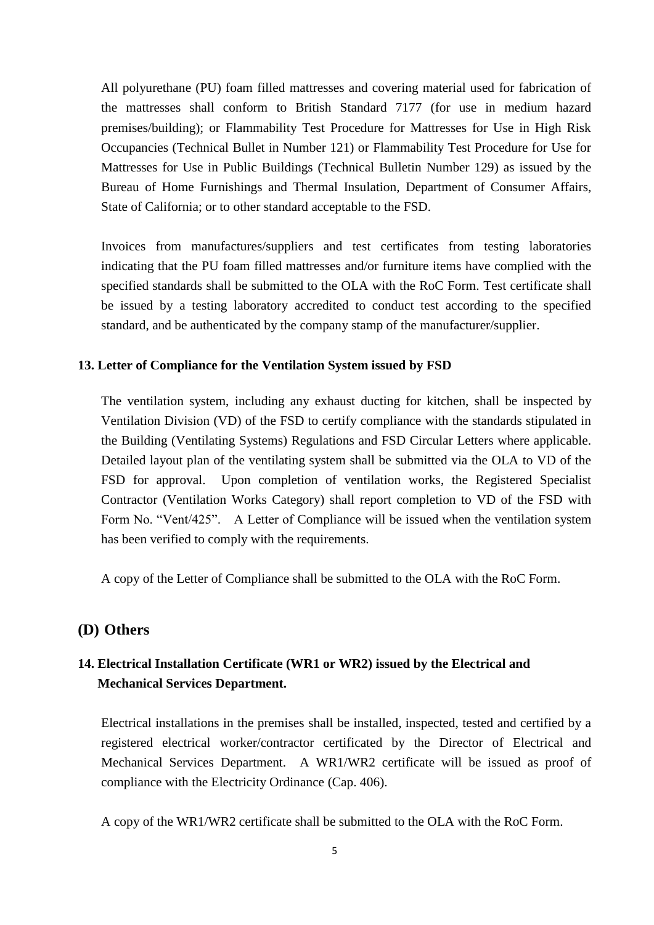All polyurethane (PU) foam filled mattresses and covering material used for fabrication of the mattresses shall conform to British Standard 7177 (for use in medium hazard premises/building); or Flammability Test Procedure for Mattresses for Use in High Risk Occupancies (Technical Bullet in Number 121) or Flammability Test Procedure for Use for Mattresses for Use in Public Buildings (Technical Bulletin Number 129) as issued by the Bureau of Home Furnishings and Thermal Insulation, Department of Consumer Affairs, State of California; or to other standard acceptable to the FSD.

Invoices from manufactures/suppliers and test certificates from testing laboratories indicating that the PU foam filled mattresses and/or furniture items have complied with the specified standards shall be submitted to the OLA with the RoC Form. Test certificate shall be issued by a testing laboratory accredited to conduct test according to the specified standard, and be authenticated by the company stamp of the manufacturer/supplier.

#### **13. Letter of Compliance for the Ventilation System issued by FSD**

The ventilation system, including any exhaust ducting for kitchen, shall be inspected by Ventilation Division (VD) of the FSD to certify compliance with the standards stipulated in the Building (Ventilating Systems) Regulations and FSD Circular Letters where applicable. Detailed layout plan of the ventilating system shall be submitted via the OLA to VD of the FSD for approval. Upon completion of ventilation works, the Registered Specialist Contractor (Ventilation Works Category) shall report completion to VD of the FSD with Form No. "Vent/425". A Letter of Compliance will be issued when the ventilation system has been verified to comply with the requirements.

A copy of the Letter of Compliance shall be submitted to the OLA with the RoC Form.

### **(D) Others**

# **14. Electrical Installation Certificate (WR1 or WR2) issued by the Electrical and Mechanical Services Department.**

Electrical installations in the premises shall be installed, inspected, tested and certified by a registered electrical worker/contractor certificated by the Director of Electrical and Mechanical Services Department. A WR1/WR2 certificate will be issued as proof of compliance with the Electricity Ordinance (Cap. 406).

A copy of the WR1/WR2 certificate shall be submitted to the OLA with the RoC Form.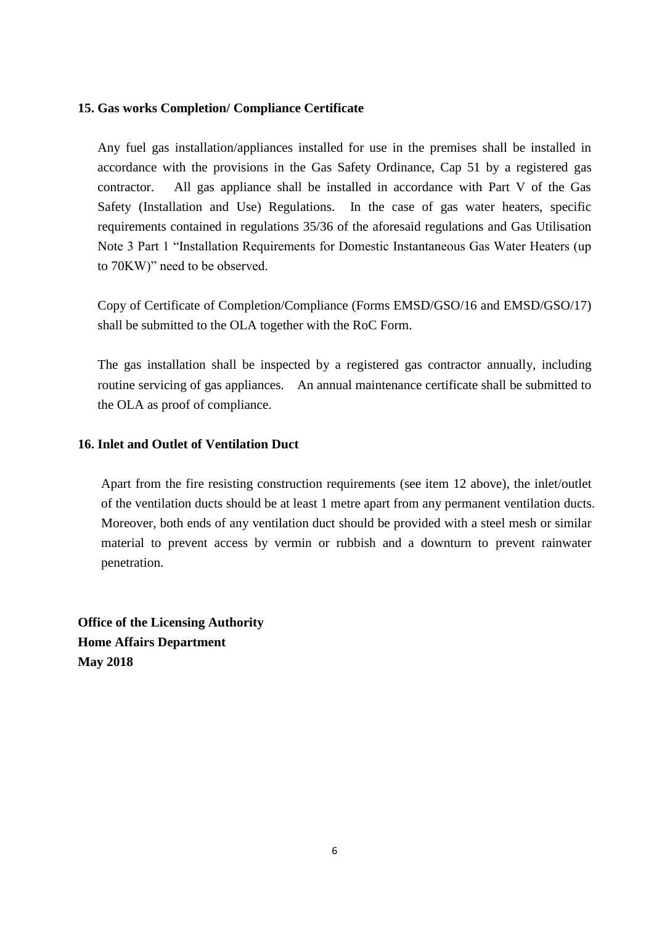### **15. Gas works Completion/ Compliance Certificate**

Any fuel gas installation/appliances installed for use in the premises shall be installed in accordance with the provisions in the Gas Safety Ordinance, Cap 51 by a registered gas contractor. All gas appliance shall be installed in accordance with Part V of the Gas Safety (Installation and Use) Regulations. In the case of gas water heaters, specific requirements contained in regulations 35/36 of the aforesaid regulations and Gas Utilisation Note 3 Part 1 "Installation Requirements for Domestic Instantaneous Gas Water Heaters (up to 70KW)" need to be observed.

Copy of Certificate of Completion/Compliance (Forms EMSD/GSO/16 and EMSD/GSO/17) shall be submitted to the OLA together with the RoC Form.

The gas installation shall be inspected by a registered gas contractor annually, including routine servicing of gas appliances. An annual maintenance certificate shall be submitted to the OLA as proof of compliance.

### **16. Inlet and Outlet of Ventilation Duct**

Apart from the fire resisting construction requirements (see item 12 above), the inlet/outlet of the ventilation ducts should be at least 1 metre apart from any permanent ventilation ducts. Moreover, both ends of any ventilation duct should be provided with a steel mesh or similar material to prevent access by vermin or rubbish and a downturn to prevent rainwater penetration.

**Office of the Licensing Authority Home Affairs Department May 2018**